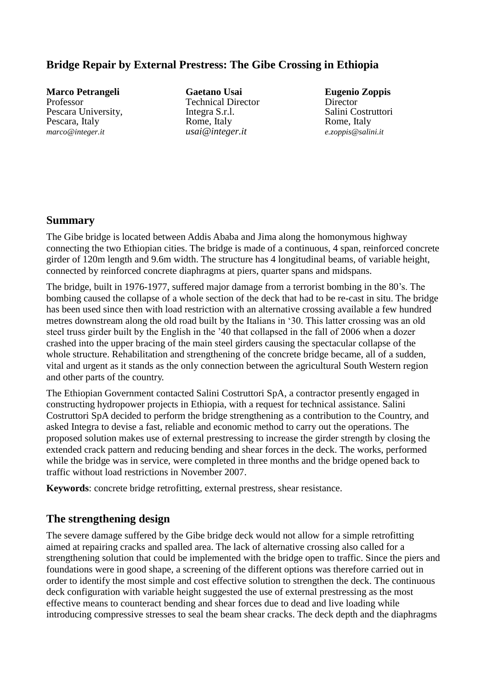### **Bridge Repair by External Prestress: The Gibe Crossing in Ethiopia**

**Marco Petrangeli** Professor Pescara University, Pescara, Italy *marco@integer.it*

**Gaetano Usai** Technical Director Integra S.r.l. Rome, Italy *usai@integer.it*

**Eugenio Zoppis** Director Salini Costruttori Rome, Italy *e.zoppis@salini.it*

#### **Summary**

The Gibe bridge is located between Addis Ababa and Jima along the homonymous highway connecting the two Ethiopian cities. The bridge is made of a continuous, 4 span, reinforced concrete girder of 120m length and 9.6m width. The structure has 4 longitudinal beams, of variable height, connected by reinforced concrete diaphragms at piers, quarter spans and midspans.

The bridge, built in 1976-1977, suffered major damage from a terrorist bombing in the 80's. The bombing caused the collapse of a whole section of the deck that had to be re-cast in situ. The bridge has been used since then with load restriction with an alternative crossing available a few hundred metres downstream along the old road built by the Italians in '30. This latter crossing was an old steel truss girder built by the English in the '40 that collapsed in the fall of 2006 when a dozer crashed into the upper bracing of the main steel girders causing the spectacular collapse of the whole structure. Rehabilitation and strengthening of the concrete bridge became, all of a sudden, vital and urgent as it stands as the only connection between the agricultural South Western region and other parts of the country.

The Ethiopian Government contacted Salini Costruttori SpA, a contractor presently engaged in constructing hydropower projects in Ethiopia, with a request for technical assistance. Salini Costruttori SpA decided to perform the bridge strengthening as a contribution to the Country, and asked Integra to devise a fast, reliable and economic method to carry out the operations. The proposed solution makes use of external prestressing to increase the girder strength by closing the extended crack pattern and reducing bending and shear forces in the deck. The works, performed while the bridge was in service, were completed in three months and the bridge opened back to traffic without load restrictions in November 2007.

**Keywords**: concrete bridge retrofitting, external prestress, shear resistance.

#### **The strengthening design**

The severe damage suffered by the Gibe bridge deck would not allow for a simple retrofitting aimed at repairing cracks and spalled area. The lack of alternative crossing also called for a strengthening solution that could be implemented with the bridge open to traffic. Since the piers and foundations were in good shape, a screening of the different options was therefore carried out in order to identify the most simple and cost effective solution to strengthen the deck. The continuous deck configuration with variable height suggested the use of external prestressing as the most effective means to counteract bending and shear forces due to dead and live loading while introducing compressive stresses to seal the beam shear cracks. The deck depth and the diaphragms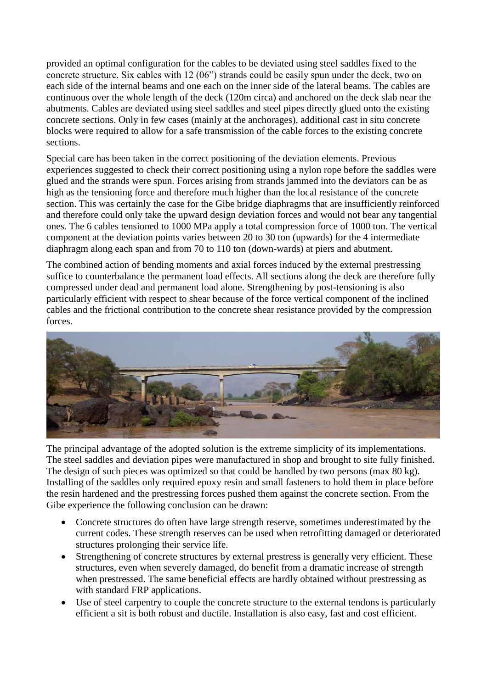provided an optimal configuration for the cables to be deviated using steel saddles fixed to the concrete structure. Six cables with 12 (06") strands could be easily spun under the deck, two on each side of the internal beams and one each on the inner side of the lateral beams. The cables are continuous over the whole length of the deck (120m circa) and anchored on the deck slab near the abutments. Cables are deviated using steel saddles and steel pipes directly glued onto the existing concrete sections. Only in few cases (mainly at the anchorages), additional cast in situ concrete blocks were required to allow for a safe transmission of the cable forces to the existing concrete sections.

Special care has been taken in the correct positioning of the deviation elements. Previous experiences suggested to check their correct positioning using a nylon rope before the saddles were glued and the strands were spun. Forces arising from strands jammed into the deviators can be as high as the tensioning force and therefore much higher than the local resistance of the concrete section. This was certainly the case for the Gibe bridge diaphragms that are insufficiently reinforced and therefore could only take the upward design deviation forces and would not bear any tangential ones. The 6 cables tensioned to 1000 MPa apply a total compression force of 1000 ton. The vertical component at the deviation points varies between 20 to 30 ton (upwards) for the 4 intermediate diaphragm along each span and from 70 to 110 ton (down-wards) at piers and abutment.

The combined action of bending moments and axial forces induced by the external prestressing suffice to counterbalance the permanent load effects. All sections along the deck are therefore fully compressed under dead and permanent load alone. Strengthening by post-tensioning is also particularly efficient with respect to shear because of the force vertical component of the inclined cables and the frictional contribution to the concrete shear resistance provided by the compression forces.



The principal advantage of the adopted solution is the extreme simplicity of its implementations. The steel saddles and deviation pipes were manufactured in shop and brought to site fully finished. The design of such pieces was optimized so that could be handled by two persons (max 80 kg). Installing of the saddles only required epoxy resin and small fasteners to hold them in place before the resin hardened and the prestressing forces pushed them against the concrete section. From the Gibe experience the following conclusion can be drawn:

- Concrete structures do often have large strength reserve, sometimes underestimated by the current codes. These strength reserves can be used when retrofitting damaged or deteriorated structures prolonging their service life.
- Strengthening of concrete structures by external prestress is generally very efficient. These structures, even when severely damaged, do benefit from a dramatic increase of strength when prestressed. The same beneficial effects are hardly obtained without prestressing as with standard FRP applications.
- Use of steel carpentry to couple the concrete structure to the external tendons is particularly efficient a sit is both robust and ductile. Installation is also easy, fast and cost efficient.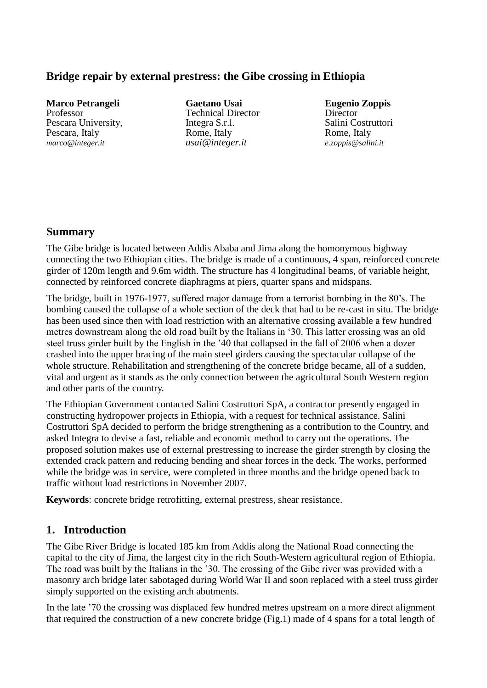### **Bridge repair by external prestress: the Gibe crossing in Ethiopia**

**Marco Petrangeli** Professor Pescara University, Pescara, Italy *marco@integer.it*

**Gaetano Usai** Technical Director Integra S.r.l. Rome, Italy *usai@integer.it*

**Eugenio Zoppis Director** Salini Costruttori Rome, Italy *e.zoppis@salini.it*

### **Summary**

The Gibe bridge is located between Addis Ababa and Jima along the homonymous highway connecting the two Ethiopian cities. The bridge is made of a continuous, 4 span, reinforced concrete girder of 120m length and 9.6m width. The structure has 4 longitudinal beams, of variable height, connected by reinforced concrete diaphragms at piers, quarter spans and midspans.

The bridge, built in 1976-1977, suffered major damage from a terrorist bombing in the 80's. The bombing caused the collapse of a whole section of the deck that had to be re-cast in situ. The bridge has been used since then with load restriction with an alternative crossing available a few hundred metres downstream along the old road built by the Italians in '30. This latter crossing was an old steel truss girder built by the English in the '40 that collapsed in the fall of 2006 when a dozer crashed into the upper bracing of the main steel girders causing the spectacular collapse of the whole structure. Rehabilitation and strengthening of the concrete bridge became, all of a sudden, vital and urgent as it stands as the only connection between the agricultural South Western region and other parts of the country.

The Ethiopian Government contacted Salini Costruttori SpA, a contractor presently engaged in constructing hydropower projects in Ethiopia, with a request for technical assistance. Salini Costruttori SpA decided to perform the bridge strengthening as a contribution to the Country, and asked Integra to devise a fast, reliable and economic method to carry out the operations. The proposed solution makes use of external prestressing to increase the girder strength by closing the extended crack pattern and reducing bending and shear forces in the deck. The works, performed while the bridge was in service, were completed in three months and the bridge opened back to traffic without load restrictions in November 2007.

**Keywords**: concrete bridge retrofitting, external prestress, shear resistance.

#### **1. Introduction**

The Gibe River Bridge is located 185 km from Addis along the National Road connecting the capital to the city of Jima, the largest city in the rich South-Western agricultural region of Ethiopia. The road was built by the Italians in the '30. The crossing of the Gibe river was provided with a masonry arch bridge later sabotaged during World War II and soon replaced with a steel truss girder simply supported on the existing arch abutments.

In the late '70 the crossing was displaced few hundred metres upstream on a more direct alignment that required the construction of a new concrete bridge (Fig.1) made of 4 spans for a total length of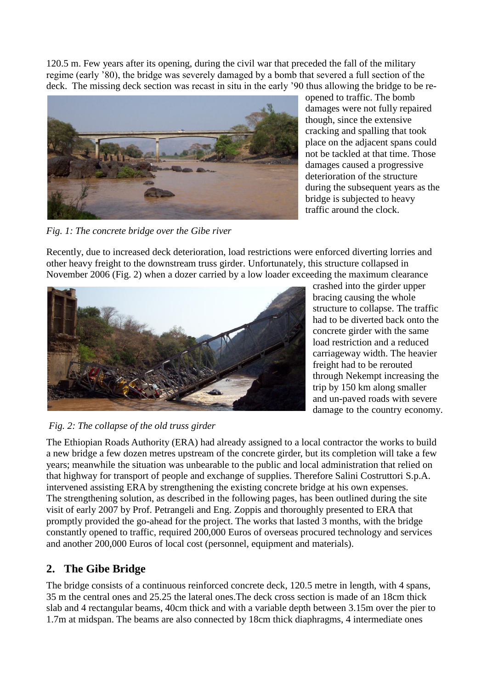120.5 m. Few years after its opening, during the civil war that preceded the fall of the military regime (early '80), the bridge was severely damaged by a bomb that severed a full section of the deck. The missing deck section was recast in situ in the early '90 thus allowing the bridge to be re-



opened to traffic. The bomb damages were not fully repaired though, since the extensive cracking and spalling that took place on the adjacent spans could not be tackled at that time. Those damages caused a progressive deterioration of the structure during the subsequent years as the bridge is subjected to heavy traffic around the clock.

*Fig. 1: The concrete bridge over the Gibe river*

Recently, due to increased deck deterioration, load restrictions were enforced diverting lorries and other heavy freight to the downstream truss girder. Unfortunately, this structure collapsed in November 2006 (Fig. 2) when a dozer carried by a low loader exceeding the maximum clearance



crashed into the girder upper bracing causing the whole structure to collapse. The traffic had to be diverted back onto the concrete girder with the same load restriction and a reduced carriageway width. The heavier freight had to be rerouted through Nekempt increasing the trip by 150 km along smaller and un-paved roads with severe damage to the country economy.

#### *Fig. 2: The collapse of the old truss girder*

The Ethiopian Roads Authority (ERA) had already assigned to a local contractor the works to build a new bridge a few dozen metres upstream of the concrete girder, but its completion will take a few years; meanwhile the situation was unbearable to the public and local administration that relied on that highway for transport of people and exchange of supplies. Therefore Salini Costruttori S.p.A. intervened assisting ERA by strengthening the existing concrete bridge at his own expenses. The strengthening solution, as described in the following pages, has been outlined during the site visit of early 2007 by Prof. Petrangeli and Eng. Zoppis and thoroughly presented to ERA that promptly provided the go-ahead for the project. The works that lasted 3 months, with the bridge constantly opened to traffic, required 200,000 Euros of overseas procured technology and services and another 200,000 Euros of local cost (personnel, equipment and materials).

# **2. The Gibe Bridge**

The bridge consists of a continuous reinforced concrete deck, 120.5 metre in length, with 4 spans, 35 m the central ones and 25.25 the lateral ones.The deck cross section is made of an 18cm thick slab and 4 rectangular beams, 40cm thick and with a variable depth between 3.15m over the pier to 1.7m at midspan. The beams are also connected by 18cm thick diaphragms, 4 intermediate ones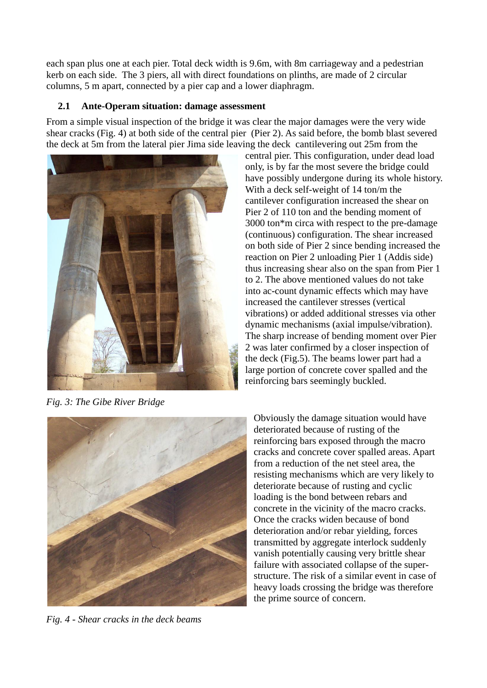each span plus one at each pier. Total deck width is 9.6m, with 8m carriageway and a pedestrian kerb on each side. The 3 piers, all with direct foundations on plinths, are made of 2 circular columns, 5 m apart, connected by a pier cap and a lower diaphragm.

#### **2.1 Ante-Operam situation: damage assessment**

From a simple visual inspection of the bridge it was clear the major damages were the very wide shear cracks (Fig. 4) at both side of the central pier (Pier 2). As said before, the bomb blast severed the deck at 5m from the lateral pier Jima side leaving the deck cantilevering out 25m from the



*Fig. 3: The Gibe River Bridge*

central pier. This configuration, under dead load only, is by far the most severe the bridge could have possibly undergone during its whole history. With a deck self-weight of 14 ton/m the cantilever configuration increased the shear on Pier 2 of 110 ton and the bending moment of 3000 ton\*m circa with respect to the pre-damage (continuous) configuration. The shear increased on both side of Pier 2 since bending increased the reaction on Pier 2 unloading Pier 1 (Addis side) thus increasing shear also on the span from Pier 1 to 2. The above mentioned values do not take into ac-count dynamic effects which may have increased the cantilever stresses (vertical vibrations) or added additional stresses via other dynamic mechanisms (axial impulse/vibration). The sharp increase of bending moment over Pier 2 was later confirmed by a closer inspection of the deck (Fig.5). The beams lower part had a large portion of concrete cover spalled and the reinforcing bars seemingly buckled.



*Fig. 4 - Shear cracks in the deck beams* 

Obviously the damage situation would have deteriorated because of rusting of the reinforcing bars exposed through the macro cracks and concrete cover spalled areas. Apart from a reduction of the net steel area, the resisting mechanisms which are very likely to deteriorate because of rusting and cyclic loading is the bond between rebars and concrete in the vicinity of the macro cracks. Once the cracks widen because of bond deterioration and/or rebar yielding, forces transmitted by aggregate interlock suddenly vanish potentially causing very brittle shear failure with associated collapse of the superstructure. The risk of a similar event in case of heavy loads crossing the bridge was therefore the prime source of concern.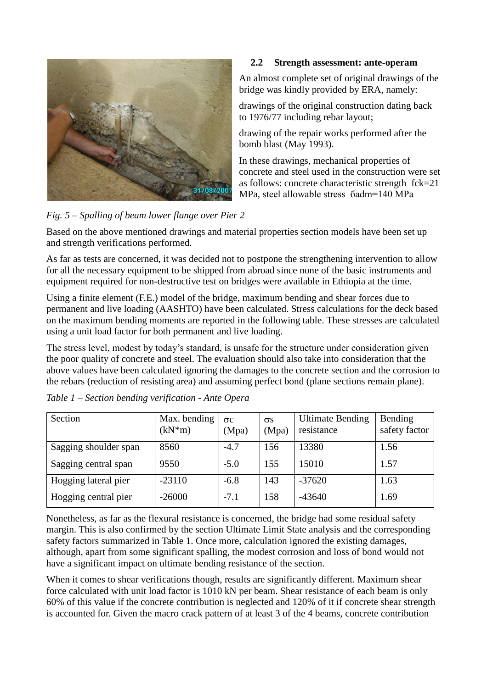

#### **2.2 Strength assessment: ante-operam**

An almost complete set of original drawings of the bridge was kindly provided by ERA, namely:

drawings of the original construction dating back to 1976/77 including rebar layout;

drawing of the repair works performed after the bomb blast (May 1993).

In these drawings, mechanical properties of concrete and steel used in the construction were set as follows: concrete characteristic strength fck=21 MPa, steel allowable stress бadm=140 MPa

*Fig. 5 – Spalling of beam lower flange over Pier 2*

Based on the above mentioned drawings and material properties section models have been set up and strength verifications performed.

As far as tests are concerned, it was decided not to postpone the strengthening intervention to allow for all the necessary equipment to be shipped from abroad since none of the basic instruments and equipment required for non-destructive test on bridges were available in Ethiopia at the time.

Using a finite element (F.E.) model of the bridge, maximum bending and shear forces due to permanent and live loading (AASHTO) have been calculated. Stress calculations for the deck based on the maximum bending moments are reported in the following table. These stresses are calculated using a unit load factor for both permanent and live loading.

The stress level, modest by today's standard, is unsafe for the structure under consideration given the poor quality of concrete and steel. The evaluation should also take into consideration that the above values have been calculated ignoring the damages to the concrete section and the corrosion to the rebars (reduction of resisting area) and assuming perfect bond (plane sections remain plane).

| Section               | Max. bending<br>$(kN*m)$ | $\sigma c$<br>(Mpa) | $\sigma s$<br>(Mpa) | <b>Ultimate Bending</b><br>resistance | Bending<br>safety factor |
|-----------------------|--------------------------|---------------------|---------------------|---------------------------------------|--------------------------|
| Sagging shoulder span | 8560                     | $-4.7$              | 156                 | 13380                                 | 1.56                     |
| Sagging central span  | 9550                     | $-5.0$              | 155                 | 15010                                 | 1.57                     |
| Hogging lateral pier  | $-23110$                 | $-6.8$              | 143                 | $-37620$                              | 1.63                     |
| Hogging central pier  | $-26000$                 | $-7.1$              | 58                  | $-43640$                              | 1.69                     |

| Table 1 - Section bending verification - Ante Opera |  |  |  |  |
|-----------------------------------------------------|--|--|--|--|
|-----------------------------------------------------|--|--|--|--|

Nonetheless, as far as the flexural resistance is concerned, the bridge had some residual safety margin. This is also confirmed by the section Ultimate Limit State analysis and the corresponding safety factors summarized in Table 1. Once more, calculation ignored the existing damages, although, apart from some significant spalling, the modest corrosion and loss of bond would not have a significant impact on ultimate bending resistance of the section.

When it comes to shear verifications though, results are significantly different. Maximum shear force calculated with unit load factor is 1010 kN per beam. Shear resistance of each beam is only 60% of this value if the concrete contribution is neglected and 120% of it if concrete shear strength is accounted for. Given the macro crack pattern of at least 3 of the 4 beams, concrete contribution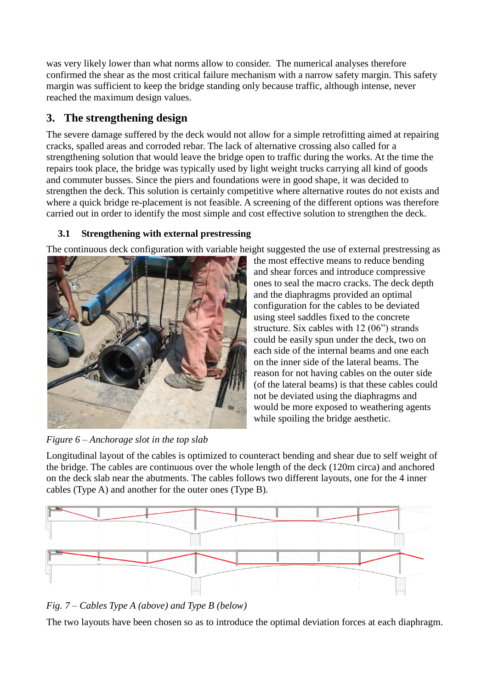was very likely lower than what norms allow to consider. The numerical analyses therefore confirmed the shear as the most critical failure mechanism with a narrow safety margin. This safety margin was sufficient to keep the bridge standing only because traffic, although intense, never reached the maximum design values.

# **3. The strengthening design**

The severe damage suffered by the deck would not allow for a simple retrofitting aimed at repairing cracks, spalled areas and corroded rebar. The lack of alternative crossing also called for a strengthening solution that would leave the bridge open to traffic during the works. At the time the repairs took place, the bridge was typically used by light weight trucks carrying all kind of goods and commuter busses. Since the piers and foundations were in good shape, it was decided to strengthen the deck. This solution is certainly competitive where alternative routes do not exists and where a quick bridge re-placement is not feasible. A screening of the different options was therefore carried out in order to identify the most simple and cost effective solution to strengthen the deck.

## **3.1 Strengthening with external prestressing**

The continuous deck configuration with variable height suggested the use of external prestressing as



*Figure 6 – Anchorage slot in the top slab*

the most effective means to reduce bending and shear forces and introduce compressive ones to seal the macro cracks. The deck depth and the diaphragms provided an optimal configuration for the cables to be deviated using steel saddles fixed to the concrete structure. Six cables with 12 (06") strands could be easily spun under the deck, two on each side of the internal beams and one each on the inner side of the lateral beams. The reason for not having cables on the outer side (of the lateral beams) is that these cables could not be deviated using the diaphragms and would be more exposed to weathering agents while spoiling the bridge aesthetic.

Longitudinal layout of the cables is optimized to counteract bending and shear due to self weight of the bridge. The cables are continuous over the whole length of the deck (120m circa) and anchored on the deck slab near the abutments. The cables follows two different layouts, one for the 4 inner cables (Type A) and another for the outer ones (Type B).





The two layouts have been chosen so as to introduce the optimal deviation forces at each diaphragm.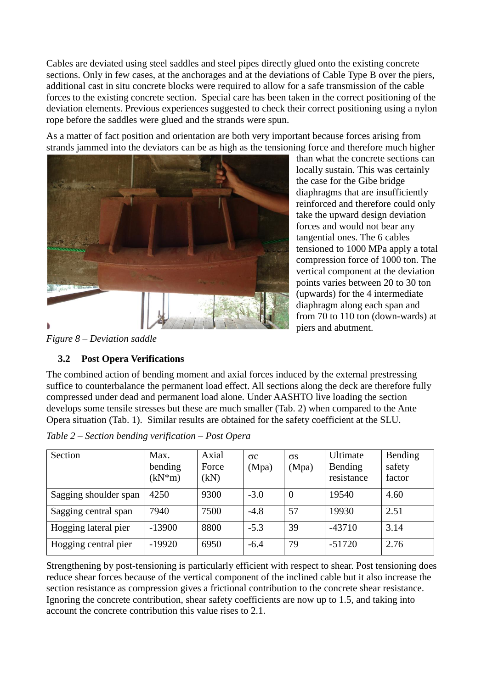Cables are deviated using steel saddles and steel pipes directly glued onto the existing concrete sections. Only in few cases, at the anchorages and at the deviations of Cable Type B over the piers, additional cast in situ concrete blocks were required to allow for a safe transmission of the cable forces to the existing concrete section. Special care has been taken in the correct positioning of the deviation elements. Previous experiences suggested to check their correct positioning using a nylon rope before the saddles were glued and the strands were spun.

As a matter of fact position and orientation are both very important because forces arising from strands jammed into the deviators can be as high as the tensioning force and therefore much higher



than what the concrete sections can locally sustain. This was certainly the case for the Gibe bridge diaphragms that are insufficiently reinforced and therefore could only take the upward design deviation forces and would not bear any tangential ones. The 6 cables tensioned to 1000 MPa apply a total compression force of 1000 ton. The vertical component at the deviation points varies between 20 to 30 ton (upwards) for the 4 intermediate diaphragm along each span and from 70 to 110 ton (down-wards) at piers and abutment.

*Figure 8 – Deviation saddle*

### **3.2 Post Opera Verifications**

The combined action of bending moment and axial forces induced by the external prestressing suffice to counterbalance the permanent load effect. All sections along the deck are therefore fully compressed under dead and permanent load alone. Under AASHTO live loading the section develops some tensile stresses but these are much smaller (Tab. 2) when compared to the Ante Opera situation (Tab. 1). Similar results are obtained for the safety coefficient at the SLU.

| Section               | Max.<br>bending<br>$(kN*m)$ | Axial<br>Force<br>(kN) | $\sigma c$<br>(Mpa) | $\sigma s$<br>(Mpa) | Ultimate<br>Bending<br>resistance | Bending<br>safety<br>factor |
|-----------------------|-----------------------------|------------------------|---------------------|---------------------|-----------------------------------|-----------------------------|
| Sagging shoulder span | 4250                        | 9300                   | $-3.0$              | $\overline{0}$      | 19540                             | 4.60                        |
| Sagging central span  | 7940                        | 7500                   | $-4.8$              | 57                  | 19930                             | 2.51                        |
| Hogging lateral pier  | $-13900$                    | 8800                   | $-5.3$              | 39                  | $-43710$                          | 3.14                        |
| Hogging central pier  | $-19920$                    | 6950                   | $-6.4$              | 79                  | $-51720$                          | 2.76                        |

|  | Table 2 – Section bending verification – Post Opera |
|--|-----------------------------------------------------|

Strengthening by post-tensioning is particularly efficient with respect to shear. Post tensioning does reduce shear forces because of the vertical component of the inclined cable but it also increase the section resistance as compression gives a frictional contribution to the concrete shear resistance. Ignoring the concrete contribution, shear safety coefficients are now up to 1.5, and taking into account the concrete contribution this value rises to 2.1.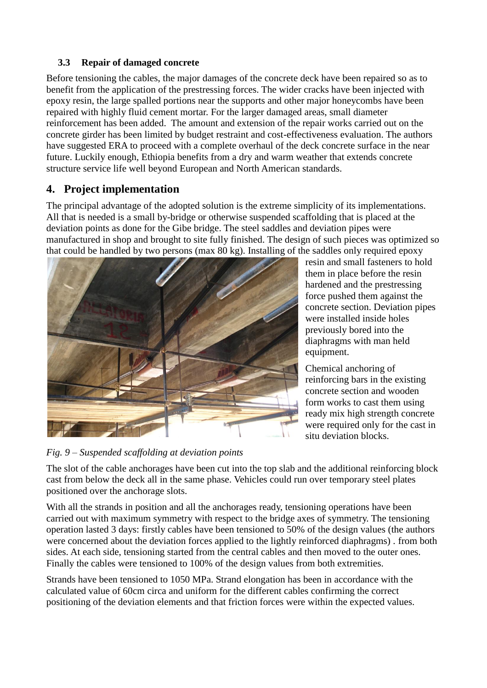#### **3.3 Repair of damaged concrete**

Before tensioning the cables, the major damages of the concrete deck have been repaired so as to benefit from the application of the prestressing forces. The wider cracks have been injected with epoxy resin, the large spalled portions near the supports and other major honeycombs have been repaired with highly fluid cement mortar. For the larger damaged areas, small diameter reinforcement has been added. The amount and extension of the repair works carried out on the concrete girder has been limited by budget restraint and cost-effectiveness evaluation. The authors have suggested ERA to proceed with a complete overhaul of the deck concrete surface in the near future. Luckily enough, Ethiopia benefits from a dry and warm weather that extends concrete structure service life well beyond European and North American standards.

## **4. Project implementation**

The principal advantage of the adopted solution is the extreme simplicity of its implementations. All that is needed is a small by-bridge or otherwise suspended scaffolding that is placed at the deviation points as done for the Gibe bridge. The steel saddles and deviation pipes were manufactured in shop and brought to site fully finished. The design of such pieces was optimized so that could be handled by two persons (max 80 kg). Installing of the saddles only required epoxy



resin and small fasteners to hold them in place before the resin hardened and the prestressing force pushed them against the concrete section. Deviation pipes were installed inside holes previously bored into the diaphragms with man held equipment.

Chemical anchoring of reinforcing bars in the existing concrete section and wooden form works to cast them using ready mix high strength concrete were required only for the cast in situ deviation blocks.

*Fig. 9 – Suspended scaffolding at deviation points* 

The slot of the cable anchorages have been cut into the top slab and the additional reinforcing block cast from below the deck all in the same phase. Vehicles could run over temporary steel plates positioned over the anchorage slots.

With all the strands in position and all the anchorages ready, tensioning operations have been carried out with maximum symmetry with respect to the bridge axes of symmetry. The tensioning operation lasted 3 days: firstly cables have been tensioned to 50% of the design values (the authors were concerned about the deviation forces applied to the lightly reinforced diaphragms) . from both sides. At each side, tensioning started from the central cables and then moved to the outer ones. Finally the cables were tensioned to 100% of the design values from both extremities.

Strands have been tensioned to 1050 MPa. Strand elongation has been in accordance with the calculated value of 60cm circa and uniform for the different cables confirming the correct positioning of the deviation elements and that friction forces were within the expected values.